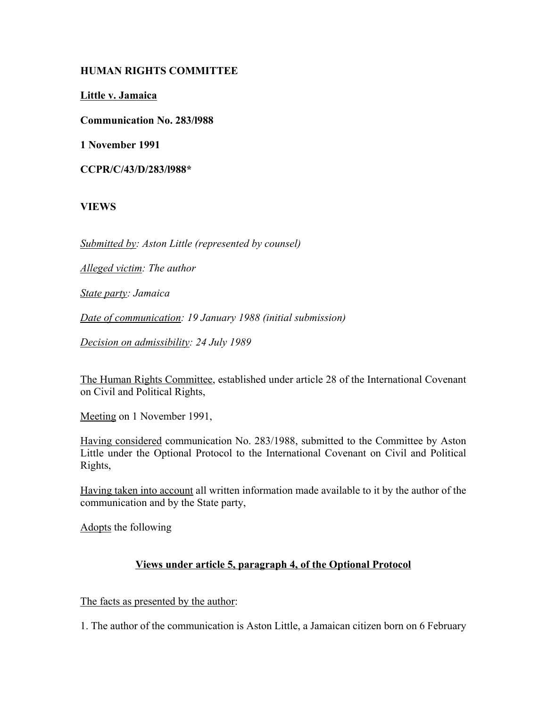# **HUMAN RIGHTS COMMITTEE**

**Little v. Jamaica**

**Communication No. 283/l988**

**1 November 1991**

**CCPR/C/43/D/283/l988\***

**VIEWS**

*Submitted by: Aston Little (represented by counsel)*

*Alleged victim: The author*

*State party: Jamaica*

*Date of communication: 19 January 1988 (initial submission)*

*Decision on admissibility: 24 July 1989*

The Human Rights Committee, established under article 28 of the International Covenant on Civil and Political Rights,

Meeting on 1 November 1991,

Having considered communication No. 283/1988, submitted to the Committee by Aston Little under the Optional Protocol to the International Covenant on Civil and Political Rights,

Having taken into account all written information made available to it by the author of the communication and by the State party,

Adopts the following

# **Views under article 5, paragraph 4, of the Optional Protocol**

The facts as presented by the author:

1. The author of the communication is Aston Little, a Jamaican citizen born on 6 February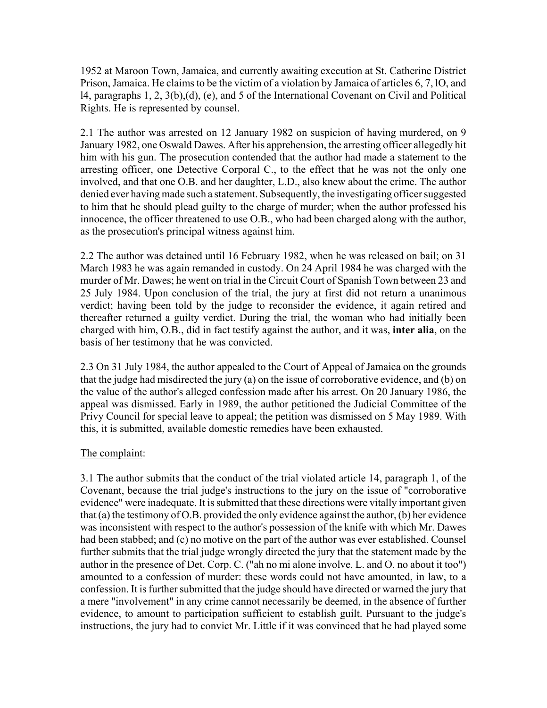1952 at Maroon Town, Jamaica, and currently awaiting execution at St. Catherine District Prison, Jamaica. He claims to be the victim of a violation by Jamaica of articles 6, 7, lO, and l4, paragraphs 1, 2, 3(b),(d), (e), and 5 of the International Covenant on Civil and Political Rights. He is represented by counsel.

2.1 The author was arrested on 12 January 1982 on suspicion of having murdered, on 9 January 1982, one Oswald Dawes. After his apprehension, the arresting officer allegedly hit him with his gun. The prosecution contended that the author had made a statement to the arresting officer, one Detective Corporal C., to the effect that he was not the only one involved, and that one O.B. and her daughter, L.D., also knew about the crime. The author denied ever having made such a statement. Subsequently, the investigating officer suggested to him that he should plead guilty to the charge of murder; when the author professed his innocence, the officer threatened to use O.B., who had been charged along with the author, as the prosecution's principal witness against him.

2.2 The author was detained until 16 February 1982, when he was released on bail; on 31 March 1983 he was again remanded in custody. On 24 April 1984 he was charged with the murder of Mr. Dawes; he went on trial in the Circuit Court of Spanish Town between 23 and 25 July 1984. Upon conclusion of the trial, the jury at first did not return a unanimous verdict; having been told by the judge to reconsider the evidence, it again retired and thereafter returned a guilty verdict. During the trial, the woman who had initially been charged with him, O.B., did in fact testify against the author, and it was, **inter alia**, on the basis of her testimony that he was convicted.

2.3 On 31 July 1984, the author appealed to the Court of Appeal of Jamaica on the grounds that the judge had misdirected the jury (a) on the issue of corroborative evidence, and (b) on the value of the author's alleged confession made after his arrest. On 20 January 1986, the appeal was dismissed. Early in 1989, the author petitioned the Judicial Committee of the Privy Council for special leave to appeal; the petition was dismissed on 5 May 1989. With this, it is submitted, available domestic remedies have been exhausted.

# The complaint:

3.1 The author submits that the conduct of the trial violated article 14, paragraph 1, of the Covenant, because the trial judge's instructions to the jury on the issue of "corroborative evidence" were inadequate. It is submitted that these directions were vitally important given that (a) the testimony of O.B. provided the only evidence against the author, (b) her evidence was inconsistent with respect to the author's possession of the knife with which Mr. Dawes had been stabbed; and (c) no motive on the part of the author was ever established. Counsel further submits that the trial judge wrongly directed the jury that the statement made by the author in the presence of Det. Corp. C. ("ah no mi alone involve. L. and O. no about it too") amounted to a confession of murder: these words could not have amounted, in law, to a confession. It is further submitted that the judge should have directed or warned the jury that a mere "involvement" in any crime cannot necessarily be deemed, in the absence of further evidence, to amount to participation sufficient to establish guilt. Pursuant to the judge's instructions, the jury had to convict Mr. Little if it was convinced that he had played some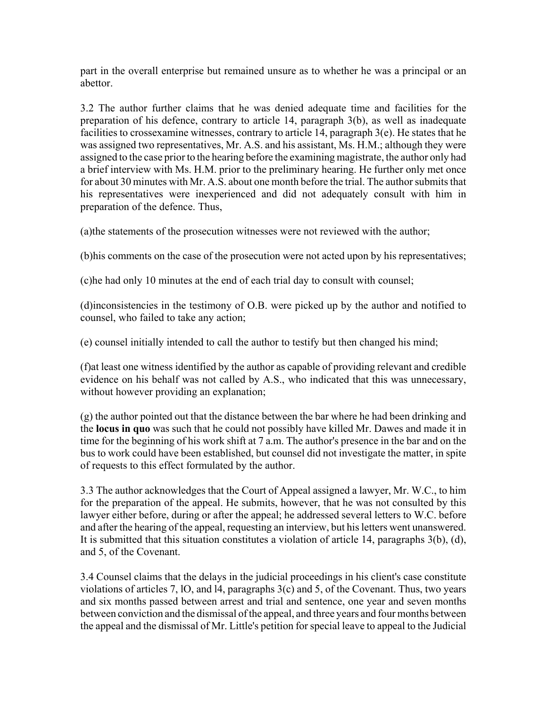part in the overall enterprise but remained unsure as to whether he was a principal or an abettor.

3.2 The author further claims that he was denied adequate time and facilities for the preparation of his defence, contrary to article 14, paragraph 3(b), as well as inadequate facilities to crossexamine witnesses, contrary to article 14, paragraph 3(e). He states that he was assigned two representatives, Mr. A.S. and his assistant, Ms. H.M.; although they were assigned to the case prior to the hearing before the examining magistrate, the author only had a brief interview with Ms. H.M. prior to the preliminary hearing. He further only met once for about 30 minutes with Mr. A.S. about one month before the trial. The author submits that his representatives were inexperienced and did not adequately consult with him in preparation of the defence. Thus,

(a)the statements of the prosecution witnesses were not reviewed with the author;

(b)his comments on the case of the prosecution were not acted upon by his representatives;

(c)he had only 10 minutes at the end of each trial day to consult with counsel;

(d)inconsistencies in the testimony of O.B. were picked up by the author and notified to counsel, who failed to take any action;

(e) counsel initially intended to call the author to testify but then changed his mind;

(f)at least one witness identified by the author as capable of providing relevant and credible evidence on his behalf was not called by A.S., who indicated that this was unnecessary, without however providing an explanation;

(g) the author pointed out that the distance between the bar where he had been drinking and the **locus in quo** was such that he could not possibly have killed Mr. Dawes and made it in time for the beginning of his work shift at 7 a.m. The author's presence in the bar and on the bus to work could have been established, but counsel did not investigate the matter, in spite of requests to this effect formulated by the author.

3.3 The author acknowledges that the Court of Appeal assigned a lawyer, Mr. W.C., to him for the preparation of the appeal. He submits, however, that he was not consulted by this lawyer either before, during or after the appeal; he addressed several letters to W.C. before and after the hearing of the appeal, requesting an interview, but his letters went unanswered. It is submitted that this situation constitutes a violation of article 14, paragraphs 3(b), (d), and 5, of the Covenant.

3.4 Counsel claims that the delays in the judicial proceedings in his client's case constitute violations of articles 7, lO, and l4, paragraphs 3(c) and 5, of the Covenant. Thus, two years and six months passed between arrest and trial and sentence, one year and seven months between conviction and the dismissal of the appeal, and three years and four months between the appeal and the dismissal of Mr. Little's petition for special leave to appeal to the Judicial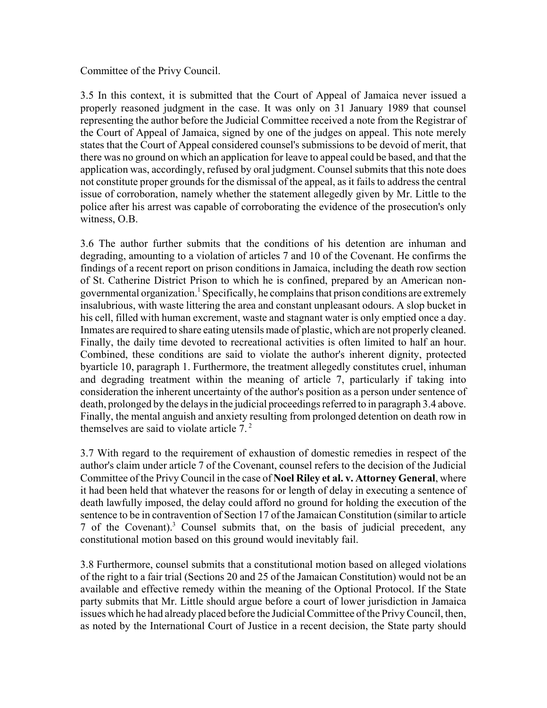### Committee of the Privy Council.

3.5 In this context, it is submitted that the Court of Appeal of Jamaica never issued a properly reasoned judgment in the case. It was only on 31 January 1989 that counsel representing the author before the Judicial Committee received a note from the Registrar of the Court of Appeal of Jamaica, signed by one of the judges on appeal. This note merely states that the Court of Appeal considered counsel's submissions to be devoid of merit, that there was no ground on which an application for leave to appeal could be based, and that the application was, accordingly, refused by oral judgment. Counsel submits that this note does not constitute proper grounds for the dismissal of the appeal, as it fails to address the central issue of corroboration, namely whether the statement allegedly given by Mr. Little to the police after his arrest was capable of corroborating the evidence of the prosecution's only witness, O.B.

3.6 The author further submits that the conditions of his detention are inhuman and degrading, amounting to a violation of articles 7 and 10 of the Covenant. He confirms the findings of a recent report on prison conditions in Jamaica, including the death row section of St. Catherine District Prison to which he is confined, prepared by an American nongovernmental organization.<sup>1</sup> Specifically, he complains that prison conditions are extremely insalubrious, with waste littering the area and constant unpleasant odours. A slop bucket in his cell, filled with human excrement, waste and stagnant water is only emptied once a day. Inmates are required to share eating utensils made of plastic, which are not properly cleaned. Finally, the daily time devoted to recreational activities is often limited to half an hour. Combined, these conditions are said to violate the author's inherent dignity, protected byarticle 10, paragraph 1. Furthermore, the treatment allegedly constitutes cruel, inhuman and degrading treatment within the meaning of article 7, particularly if taking into consideration the inherent uncertainty of the author's position as a person under sentence of death, prolonged by the delays in the judicial proceedings referred to in paragraph 3.4 above. Finally, the mental anguish and anxiety resulting from prolonged detention on death row in themselves are said to violate article  $7<sup>2</sup>$ 

3.7 With regard to the requirement of exhaustion of domestic remedies in respect of the author's claim under article 7 of the Covenant, counsel refers to the decision of the Judicial Committee of the Privy Council in the case of **Noel Riley et al. v. Attorney General**, where it had been held that whatever the reasons for or length of delay in executing a sentence of death lawfully imposed, the delay could afford no ground for holding the execution of the sentence to be in contravention of Section 17 of the Jamaican Constitution (similar to article 7 of the Covenant).<sup>3</sup> Counsel submits that, on the basis of judicial precedent, any constitutional motion based on this ground would inevitably fail.

3.8 Furthermore, counsel submits that a constitutional motion based on alleged violations of the right to a fair trial (Sections 20 and 25 of the Jamaican Constitution) would not be an available and effective remedy within the meaning of the Optional Protocol. If the State party submits that Mr. Little should argue before a court of lower jurisdiction in Jamaica issues which he had already placed before the Judicial Committee of the Privy Council, then, as noted by the International Court of Justice in a recent decision, the State party should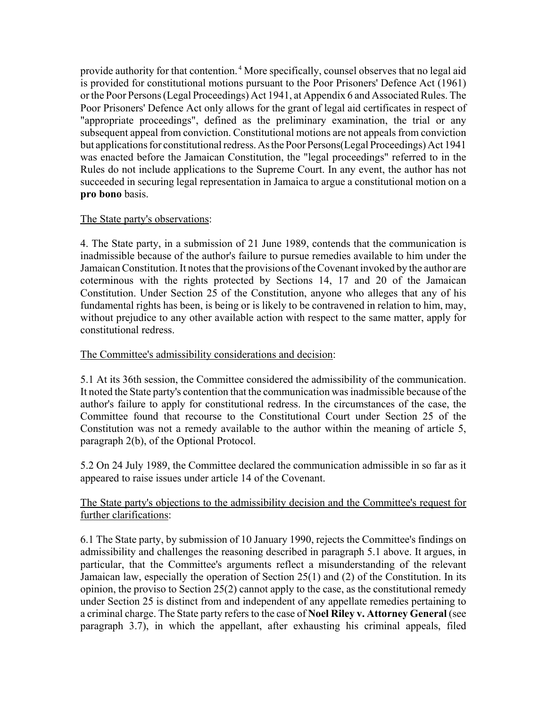provide authority for that contention.<sup>4</sup> More specifically, counsel observes that no legal aid is provided for constitutional motions pursuant to the Poor Prisoners' Defence Act (1961) or the Poor Persons (Legal Proceedings) Act 1941, at Appendix 6 and Associated Rules. The Poor Prisoners' Defence Act only allows for the grant of legal aid certificates in respect of "appropriate proceedings", defined as the preliminary examination, the trial or any subsequent appeal from conviction. Constitutional motions are not appeals from conviction but applications for constitutional redress. As the Poor Persons(Legal Proceedings) Act 1941 was enacted before the Jamaican Constitution, the "legal proceedings" referred to in the Rules do not include applications to the Supreme Court. In any event, the author has not succeeded in securing legal representation in Jamaica to argue a constitutional motion on a **pro bono** basis.

### The State party's observations:

4. The State party, in a submission of 21 June 1989, contends that the communication is inadmissible because of the author's failure to pursue remedies available to him under the Jamaican Constitution. It notes that the provisions of the Covenant invoked by the author are coterminous with the rights protected by Sections 14, 17 and 20 of the Jamaican Constitution. Under Section 25 of the Constitution, anyone who alleges that any of his fundamental rights has been, is being or is likely to be contravened in relation to him, may, without prejudice to any other available action with respect to the same matter, apply for constitutional redress.

### The Committee's admissibility considerations and decision:

5.1 At its 36th session, the Committee considered the admissibility of the communication. It noted the State party's contention that the communication was inadmissible because of the author's failure to apply for constitutional redress. In the circumstances of the case, the Committee found that recourse to the Constitutional Court under Section 25 of the Constitution was not a remedy available to the author within the meaning of article 5, paragraph 2(b), of the Optional Protocol.

5.2 On 24 July 1989, the Committee declared the communication admissible in so far as it appeared to raise issues under article 14 of the Covenant.

### The State party's objections to the admissibility decision and the Committee's request for further clarifications:

6.1 The State party, by submission of 10 January 1990, rejects the Committee's findings on admissibility and challenges the reasoning described in paragraph 5.1 above. It argues, in particular, that the Committee's arguments reflect a misunderstanding of the relevant Jamaican law, especially the operation of Section 25(1) and (2) of the Constitution. In its opinion, the proviso to Section 25(2) cannot apply to the case, as the constitutional remedy under Section 25 is distinct from and independent of any appellate remedies pertaining to a criminal charge. The State party refers to the case of **Noel Riley v. Attorney General** (see paragraph 3.7), in which the appellant, after exhausting his criminal appeals, filed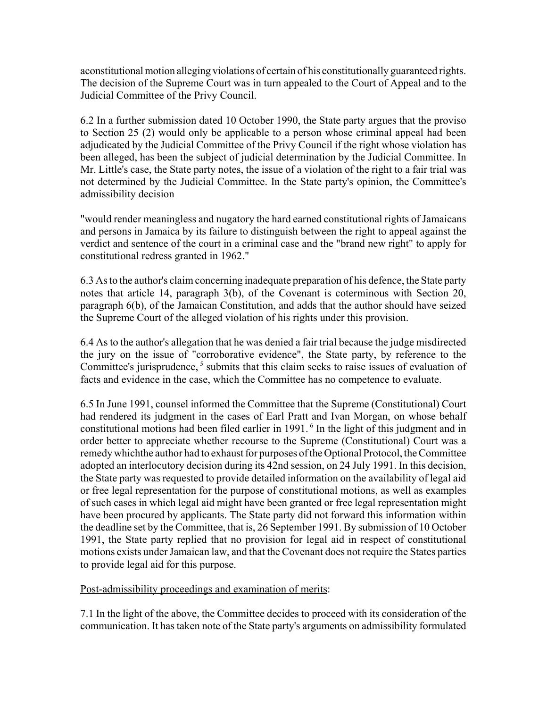aconstitutional motion alleging violations of certain of his constitutionally guaranteed rights. The decision of the Supreme Court was in turn appealed to the Court of Appeal and to the Judicial Committee of the Privy Council.

6.2 In a further submission dated 10 October 1990, the State party argues that the proviso to Section 25 (2) would only be applicable to a person whose criminal appeal had been adjudicated by the Judicial Committee of the Privy Council if the right whose violation has been alleged, has been the subject of judicial determination by the Judicial Committee. In Mr. Little's case, the State party notes, the issue of a violation of the right to a fair trial was not determined by the Judicial Committee. In the State party's opinion, the Committee's admissibility decision

"would render meaningless and nugatory the hard earned constitutional rights of Jamaicans and persons in Jamaica by its failure to distinguish between the right to appeal against the verdict and sentence of the court in a criminal case and the "brand new right" to apply for constitutional redress granted in 1962."

6.3 As to the author's claim concerning inadequate preparation of his defence, the State party notes that article 14, paragraph 3(b), of the Covenant is coterminous with Section 20, paragraph 6(b), of the Jamaican Constitution, and adds that the author should have seized the Supreme Court of the alleged violation of his rights under this provision.

6.4 As to the author's allegation that he was denied a fair trial because the judge misdirected the jury on the issue of "corroborative evidence", the State party, by reference to the Committee's jurisprudence,  $5$  submits that this claim seeks to raise issues of evaluation of facts and evidence in the case, which the Committee has no competence to evaluate.

6.5 In June 1991, counsel informed the Committee that the Supreme (Constitutional) Court had rendered its judgment in the cases of Earl Pratt and Ivan Morgan, on whose behalf constitutional motions had been filed earlier in 1991.<sup>6</sup> In the light of this judgment and in order better to appreciate whether recourse to the Supreme (Constitutional) Court was a remedy whichthe author had to exhaust for purposes of the Optional Protocol, the Committee adopted an interlocutory decision during its 42nd session, on 24 July 1991. In this decision, the State party was requested to provide detailed information on the availability of legal aid or free legal representation for the purpose of constitutional motions, as well as examples of such cases in which legal aid might have been granted or free legal representation might have been procured by applicants. The State party did not forward this information within the deadline set by the Committee, that is, 26 September 1991. By submission of 10 October 1991, the State party replied that no provision for legal aid in respect of constitutional motions exists under Jamaican law, and that the Covenant does not require the States parties to provide legal aid for this purpose.

Post-admissibility proceedings and examination of merits:

7.1 In the light of the above, the Committee decides to proceed with its consideration of the communication. It has taken note of the State party's arguments on admissibility formulated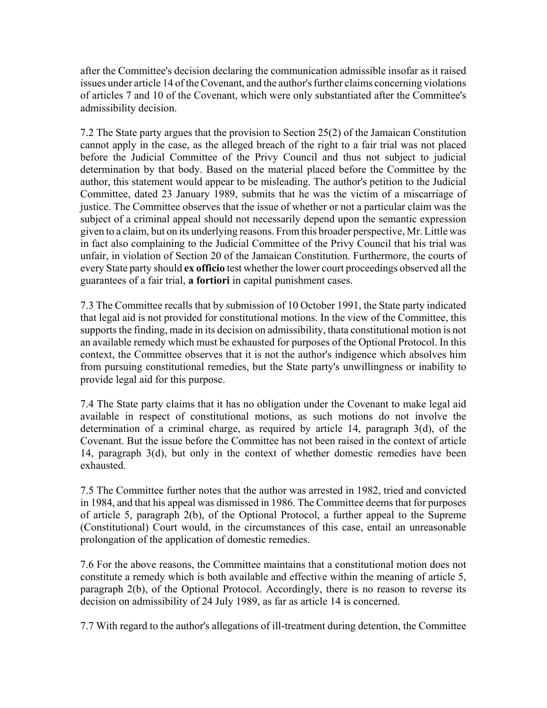after the Committee's decision declaring the communication admissible insofar as it raised issues under article 14 of the Covenant, and the author's further claims concerning violations of articles 7 and 10 of the Covenant, which were only substantiated after the Committee's admissibility decision.

7.2 The State party argues that the provision to Section 25(2) of the Jamaican Constitution cannot apply in the case, as the alleged breach of the right to a fair trial was not placed before the Judicial Committee of the Privy Council and thus not subject to judicial determination by that body. Based on the material placed before the Committee by the author, this statement would appear to be misleading. The author's petition to the Judicial Committee, dated 23 January 1989, submits that he was the victim of a miscarriage of justice. The Committee observes that the issue of whether or not a particular claim was the subject of a criminal appeal should not necessarily depend upon the semantic expression given to a claim, but on its underlying reasons. From this broader perspective, Mr. Little was in fact also complaining to the Judicial Committee of the Privy Council that his trial was unfair, in violation of Section 20 of the Jamaican Constitution. Furthermore, the courts of every State party should **ex officio** test whether the lower court proceedings observed all the guarantees of a fair trial, **a fortiori** in capital punishment cases.

7.3 The Committee recalls that by submission of 10 October 1991, the State party indicated that legal aid is not provided for constitutional motions. In the view of the Committee, this supports the finding, made in its decision on admissibility, thata constitutional motion is not an available remedy which must be exhausted for purposes of the Optional Protocol. In this context, the Committee observes that it is not the author's indigence which absolves him from pursuing constitutional remedies, but the State party's unwillingness or inability to provide legal aid for this purpose.

7.4 The State party claims that it has no obligation under the Covenant to make legal aid available in respect of constitutional motions, as such motions do not involve the determination of a criminal charge, as required by article 14, paragraph 3(d), of the Covenant. But the issue before the Committee has not been raised in the context of article 14, paragraph 3(d), but only in the context of whether domestic remedies have been exhausted.

7.5 The Committee further notes that the author was arrested in 1982, tried and convicted in 1984, and that his appeal was dismissed in 1986. The Committee deems that for purposes of article 5, paragraph 2(b), of the Optional Protocol, a further appeal to the Supreme (Constitutional) Court would, in the circumstances of this case, entail an unreasonable prolongation of the application of domestic remedies.

7.6 For the above reasons, the Committee maintains that a constitutional motion does not constitute a remedy which is both available and effective within the meaning of article 5, paragraph 2(b), of the Optional Protocol. Accordingly, there is no reason to reverse its decision on admissibility of 24 July 1989, as far as article 14 is concerned.

7.7 With regard to the author's allegations of ill-treatment during detention, the Committee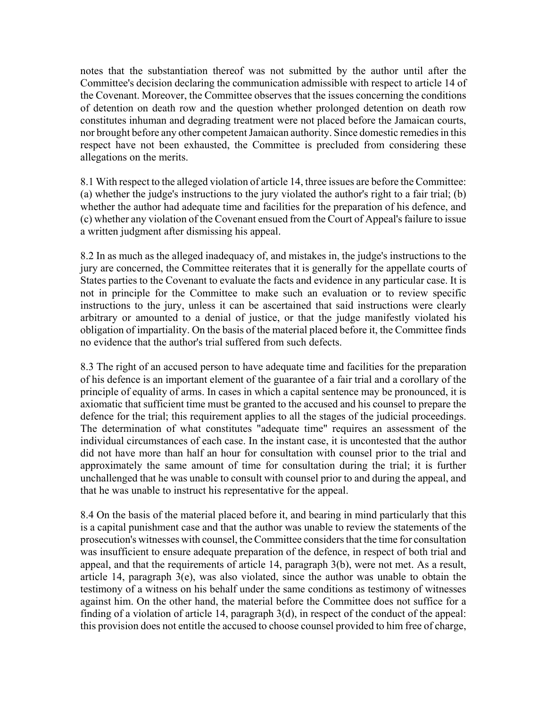notes that the substantiation thereof was not submitted by the author until after the Committee's decision declaring the communication admissible with respect to article 14 of the Covenant. Moreover, the Committee observes that the issues concerning the conditions of detention on death row and the question whether prolonged detention on death row constitutes inhuman and degrading treatment were not placed before the Jamaican courts, nor brought before any other competent Jamaican authority. Since domestic remedies in this respect have not been exhausted, the Committee is precluded from considering these allegations on the merits.

8.1 With respect to the alleged violation of article 14, three issues are before the Committee: (a) whether the judge's instructions to the jury violated the author's right to a fair trial; (b) whether the author had adequate time and facilities for the preparation of his defence, and (c) whether any violation of the Covenant ensued from the Court of Appeal's failure to issue a written judgment after dismissing his appeal.

8.2 In as much as the alleged inadequacy of, and mistakes in, the judge's instructions to the jury are concerned, the Committee reiterates that it is generally for the appellate courts of States parties to the Covenant to evaluate the facts and evidence in any particular case. It is not in principle for the Committee to make such an evaluation or to review specific instructions to the jury, unless it can be ascertained that said instructions were clearly arbitrary or amounted to a denial of justice, or that the judge manifestly violated his obligation of impartiality. On the basis of the material placed before it, the Committee finds no evidence that the author's trial suffered from such defects.

8.3 The right of an accused person to have adequate time and facilities for the preparation of his defence is an important element of the guarantee of a fair trial and a corollary of the principle of equality of arms. In cases in which a capital sentence may be pronounced, it is axiomatic that sufficient time must be granted to the accused and his counsel to prepare the defence for the trial; this requirement applies to all the stages of the judicial proceedings. The determination of what constitutes "adequate time" requires an assessment of the individual circumstances of each case. In the instant case, it is uncontested that the author did not have more than half an hour for consultation with counsel prior to the trial and approximately the same amount of time for consultation during the trial; it is further unchallenged that he was unable to consult with counsel prior to and during the appeal, and that he was unable to instruct his representative for the appeal.

8.4 On the basis of the material placed before it, and bearing in mind particularly that this is a capital punishment case and that the author was unable to review the statements of the prosecution's witnesses with counsel, the Committee considers that the time for consultation was insufficient to ensure adequate preparation of the defence, in respect of both trial and appeal, and that the requirements of article 14, paragraph 3(b), were not met. As a result, article 14, paragraph 3(e), was also violated, since the author was unable to obtain the testimony of a witness on his behalf under the same conditions as testimony of witnesses against him. On the other hand, the material before the Committee does not suffice for a finding of a violation of article 14, paragraph 3(d), in respect of the conduct of the appeal: this provision does not entitle the accused to choose counsel provided to him free of charge,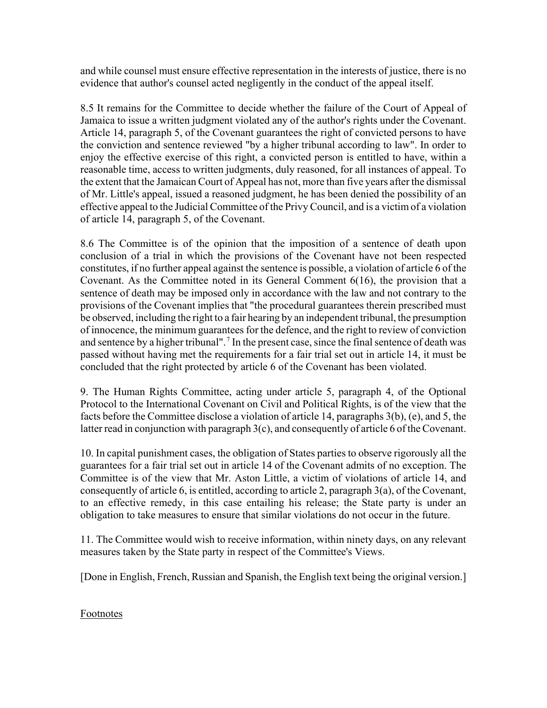and while counsel must ensure effective representation in the interests of justice, there is no evidence that author's counsel acted negligently in the conduct of the appeal itself.

8.5 It remains for the Committee to decide whether the failure of the Court of Appeal of Jamaica to issue a written judgment violated any of the author's rights under the Covenant. Article 14, paragraph 5, of the Covenant guarantees the right of convicted persons to have the conviction and sentence reviewed "by a higher tribunal according to law". In order to enjoy the effective exercise of this right, a convicted person is entitled to have, within a reasonable time, access to written judgments, duly reasoned, for all instances of appeal. To the extent that the Jamaican Court of Appeal has not, more than five years after the dismissal of Mr. Little's appeal, issued a reasoned judgment, he has been denied the possibility of an effective appeal to the Judicial Committee of the Privy Council, and is a victim of a violation of article 14, paragraph 5, of the Covenant.

8.6 The Committee is of the opinion that the imposition of a sentence of death upon conclusion of a trial in which the provisions of the Covenant have not been respected constitutes, if no further appeal against the sentence is possible, a violation of article 6 of the Covenant. As the Committee noted in its General Comment 6(16), the provision that a sentence of death may be imposed only in accordance with the law and not contrary to the provisions of the Covenant implies that "the procedural guarantees therein prescribed must be observed, including the right to a fair hearing by an independent tribunal, the presumption of innocence, the minimum guarantees for the defence, and the right to review of conviction and sentence by a higher tribunal".<sup>7</sup> In the present case, since the final sentence of death was passed without having met the requirements for a fair trial set out in article 14, it must be concluded that the right protected by article 6 of the Covenant has been violated.

9. The Human Rights Committee, acting under article 5, paragraph 4, of the Optional Protocol to the International Covenant on Civil and Political Rights, is of the view that the facts before the Committee disclose a violation of article 14, paragraphs 3(b), (e), and 5, the latter read in conjunction with paragraph 3(c), and consequently of article 6 of the Covenant.

10. In capital punishment cases, the obligation of States parties to observe rigorously all the guarantees for a fair trial set out in article 14 of the Covenant admits of no exception. The Committee is of the view that Mr. Aston Little, a victim of violations of article 14, and consequently of article 6, is entitled, according to article 2, paragraph 3(a), of the Covenant, to an effective remedy, in this case entailing his release; the State party is under an obligation to take measures to ensure that similar violations do not occur in the future.

11. The Committee would wish to receive information, within ninety days, on any relevant measures taken by the State party in respect of the Committee's Views.

[Done in English, French, Russian and Spanish, the English text being the original version.]

Footnotes